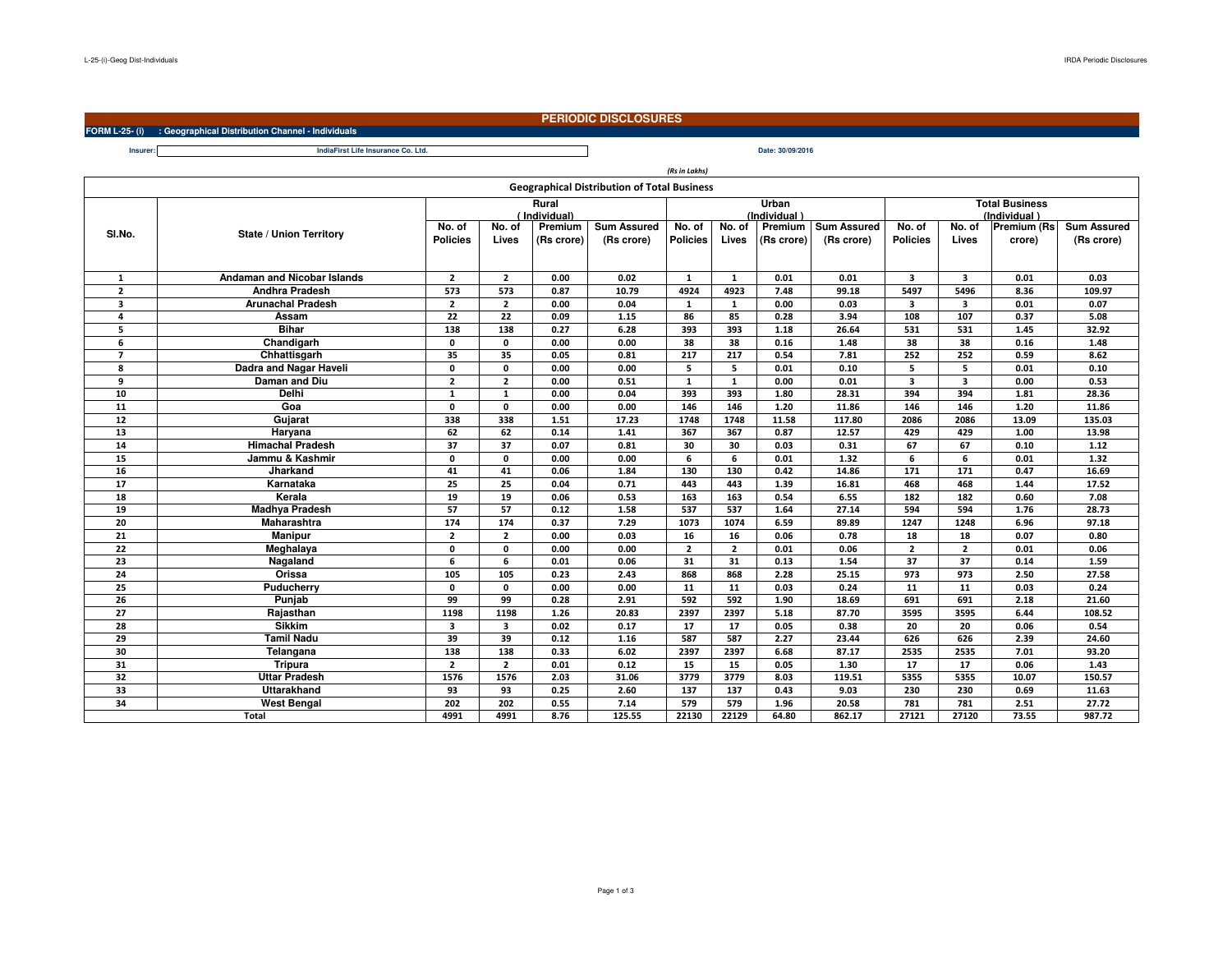**Insurer:**

## **PERIODIC DISCLOSURES**

**FORM L-25- (i) : Geographical Distribution Channel - Individuals**

| Life Insurance Co. Ltd.<br>IndiaFirst<br>. | 30/09/2016<br>Date:<br>------------- |
|--------------------------------------------|--------------------------------------|

*(Rs in Lakhs)*

| <b>Geographical Distribution of Total Business</b> |                                    |                           |                         |                       |                                  |                           |                 |                       |                                  |                                       |                         |                              |                                  |
|----------------------------------------------------|------------------------------------|---------------------------|-------------------------|-----------------------|----------------------------------|---------------------------|-----------------|-----------------------|----------------------------------|---------------------------------------|-------------------------|------------------------------|----------------------------------|
|                                                    |                                    | Rural<br>(Individual)     |                         |                       |                                  |                           |                 | Urban<br>(Individual) |                                  | <b>Total Business</b><br>(Individual) |                         |                              |                                  |
| SI.No.                                             | <b>State / Union Territory</b>     | No. of<br><b>Policies</b> | No. of<br>Lives         | Premium<br>(Rs crore) | <b>Sum Assured</b><br>(Rs crore) | No. of<br><b>Policies</b> | No. of<br>Lives | Premium<br>(Rs crore) | <b>Sum Assured</b><br>(Rs crore) | No. of<br><b>Policies</b>             | No. of<br>Lives         | <b>Premium (Rs</b><br>crore) | <b>Sum Assured</b><br>(Rs crore) |
| 1                                                  | <b>Andaman and Nicobar Islands</b> |                           | $\overline{2}$          | 0.00                  | 0.02                             | 1                         | <sup>1</sup>    | 0.01                  | 0.01                             | $\overline{\mathbf{3}}$               | $\overline{\mathbf{3}}$ | 0.01                         | 0.03                             |
| $\overline{2}$                                     | <b>Andhra Pradesh</b>              | $\overline{2}$<br>573     | 573                     | 0.87                  | 10.79                            | 4924                      | 4923            | 7.48                  | 99.18                            | 5497                                  | 5496                    | 8.36                         | 109.97                           |
| $\overline{\mathbf{3}}$                            | <b>Arunachal Pradesh</b>           | $\mathbf{2}$              | $\mathbf{2}$            | 0.00                  | 0.04                             | $\mathbf{1}$              | 1               | 0.00                  | 0.03                             | $\overline{\mathbf{3}}$               | 3                       | 0.01                         | 0.07                             |
| 4                                                  | Assam                              | 22                        | 22                      | 0.09                  | 1.15                             | 86                        | 85              | 0.28                  | 3.94                             | 108                                   | 107                     | 0.37                         | 5.08                             |
| 5                                                  | <b>Bihar</b>                       |                           | 138                     | 0.27                  | 6.28                             | 393                       | 393             | 1.18                  | 26.64                            | 531                                   | 531                     | 1.45                         | 32.92                            |
| 6                                                  | Chandigarh                         |                           | $\mathbf{0}$            | 0.00                  | 0.00                             | 38                        | 38              | 0.16                  | 1.48                             | 38                                    | 38                      | 0.16                         | 1.48                             |
| $\overline{7}$                                     | Chhattisgarh                       |                           | 35                      | 0.05                  | 0.81                             | 217                       | 217             | 0.54                  | 7.81                             | 252                                   | 252                     | 0.59                         | 8.62                             |
| 8                                                  | Dadra and Nagar Haveli             |                           | $\mathbf 0$             | 0.00                  | 0.00                             | 5                         | 5               | 0.01                  | 0.10                             | 5                                     | 5                       | 0.01                         | 0.10                             |
| 9                                                  | Daman and Diu                      | $\mathbf{2}$              | $\overline{2}$          | 0.00                  | 0.51                             | $\mathbf{1}$              | $\mathbf{1}$    | 0.00                  | 0.01                             | $\overline{\mathbf{3}}$               | $\overline{\mathbf{3}}$ | 0.00                         | 0.53                             |
| 10                                                 | Delhi                              | $\mathbf{1}$              | $\mathbf{1}$            | 0.00                  | 0.04                             | 393                       | 393             | 1.80                  | 28.31                            | 394                                   | 394                     | 1.81                         | 28.36                            |
| 11                                                 | Goa                                | $\mathbf{0}$              | $\mathbf 0$             | 0.00                  | 0.00                             | 146                       | 146             | 1.20                  | 11.86                            | 146                                   | 146                     | 1.20                         | 11.86                            |
| 12                                                 | Gujarat                            | 338                       | 338                     | 1.51                  | 17.23                            | 1748                      | 1748            | 11.58                 | 117.80                           | 2086                                  | 2086                    | 13.09                        | 135.03                           |
| 13                                                 | Haryana                            | 62                        | 62                      | 0.14                  | 1.41                             | 367                       | 367             | 0.87                  | 12.57                            | 429                                   | 429                     | 1.00                         | 13.98                            |
| 14                                                 | <b>Himachal Pradesh</b>            | 37                        | 37                      | 0.07                  | 0.81                             | 30                        | 30              | 0.03                  | 0.31                             | 67                                    | 67                      | 0.10                         | 1.12                             |
| 15                                                 | Jammu & Kashmir                    | $\mathbf{0}$              | $\mathbf{0}$            | 0.00                  | 0.00                             | 6                         | 6               | 0.01                  | 1.32                             | 6                                     | 6                       | 0.01                         | 1.32                             |
| 16                                                 | Jharkand                           | 41                        | 41                      | 0.06                  | 1.84                             | 130                       | 130             | 0.42                  | 14.86                            | 171                                   | 171                     | 0.47                         | 16.69                            |
| 17                                                 | Karnataka                          | 25                        | 25                      | 0.04                  | 0.71                             | 443                       | 443             | 1.39                  | 16.81                            | 468                                   | 468                     | 1.44                         | 17.52                            |
| 18                                                 | Kerala                             | 19                        | 19                      | 0.06                  | 0.53                             | 163                       | 163             | 0.54                  | 6.55                             | 182                                   | 182                     | 0.60                         | 7.08                             |
| 19                                                 | <b>Madhya Pradesh</b>              | 57                        | 57                      | 0.12                  | 1.58                             | 537                       | 537             | 1.64                  | 27.14                            | 594                                   | 594                     | 1.76                         | 28.73                            |
| 20                                                 | <b>Maharashtra</b>                 |                           | 174                     | 0.37                  | 7.29                             | 1073                      | 1074            | 6.59                  | 89.89                            | 1247                                  | 1248                    | 6.96                         | 97.18                            |
| 21                                                 | <b>Manipur</b>                     | $\mathbf{2}$              | $\overline{2}$          | 0.00                  | 0.03                             | 16                        | 16              | 0.06                  | 0.78                             | 18                                    | 18                      | 0.07                         | 0.80                             |
| 22                                                 | Meghalaya                          | $\mathbf{0}$              | $\mathbf{0}$            | 0.00                  | 0.00                             | $\mathbf{2}$              | $\mathbf{2}$    | 0.01                  | 0.06                             | $\overline{2}$                        | $\overline{2}$          | 0.01                         | 0.06                             |
| 23                                                 | Nagaland                           |                           | 6                       | 0.01                  | 0.06                             | 31                        | 31              | 0.13                  | 1.54                             | 37                                    | 37                      | 0.14                         | 1.59                             |
| 24                                                 | Orissa                             |                           | 105                     | 0.23                  | 2.43                             | 868                       | 868             | 2.28                  | 25.15                            | 973                                   | 973                     | 2.50                         | 27.58                            |
| 25                                                 | Puducherry                         |                           | $\mathbf 0$             | 0.00                  | 0.00                             | 11                        | 11              | 0.03                  | 0.24                             | 11                                    | 11                      | 0.03                         | 0.24                             |
| 26                                                 | Punjab                             | 99                        | 99                      | 0.28                  | 2.91                             | 592                       | 592             | 1.90                  | 18.69                            | 691                                   | 691                     | 2.18                         | 21.60                            |
| 27                                                 | Rajasthan                          | 1198                      | 1198                    | 1.26                  | 20.83                            | 2397                      | 2397            | 5.18                  | 87.70                            | 3595                                  | 3595                    | 6.44                         | 108.52                           |
| 28                                                 | <b>Sikkim</b>                      | $\overline{\mathbf{3}}$   | $\overline{\mathbf{3}}$ | 0.02                  | 0.17                             | 17                        | 17              | 0.05                  | 0.38                             | 20                                    | 20                      | 0.06                         | 0.54                             |
| 29                                                 | <b>Tamil Nadu</b>                  | 39                        | 39                      | 0.12                  | 1.16                             | 587                       | 587             | 2.27                  | 23.44                            | 626                                   | 626                     | 2.39                         | 24.60                            |
| 30                                                 | Telangana                          |                           | 138                     | 0.33                  | 6.02                             | 2397                      | 2397            | 6.68                  | 87.17                            | 2535                                  | 2535                    | 7.01                         | 93.20                            |
| 31                                                 | <b>Tripura</b>                     |                           | $\overline{2}$          | 0.01                  | 0.12                             | 15                        | 15              | 0.05                  | 1.30                             | 17                                    | 17                      | 0.06                         | 1.43                             |
| 32                                                 | <b>Uttar Pradesh</b>               | 1576                      | 1576                    | 2.03                  | 31.06                            | 3779                      | 3779            | 8.03                  | 119.51                           | 5355                                  | 5355                    | 10.07                        | 150.57                           |
| 33                                                 | <b>Uttarakhand</b>                 | 93                        | 93                      | 0.25                  | 2.60                             | 137                       | 137             | 0.43                  | 9.03                             | 230                                   | 230                     | 0.69                         | 11.63                            |
| 34                                                 | <b>West Bengal</b>                 | 202                       | 202                     | 0.55                  | 7.14                             | 579                       | 579             | 1.96                  | 20.58                            | 781                                   | 781                     | 2.51                         | 27.72                            |
|                                                    | <b>Total</b>                       | 4991                      | 4991                    | 8.76                  | 125.55                           | 22130                     | 22129           | 64.80                 | 862.17                           | 27121                                 | 27120                   | 73.55                        | 987.72                           |